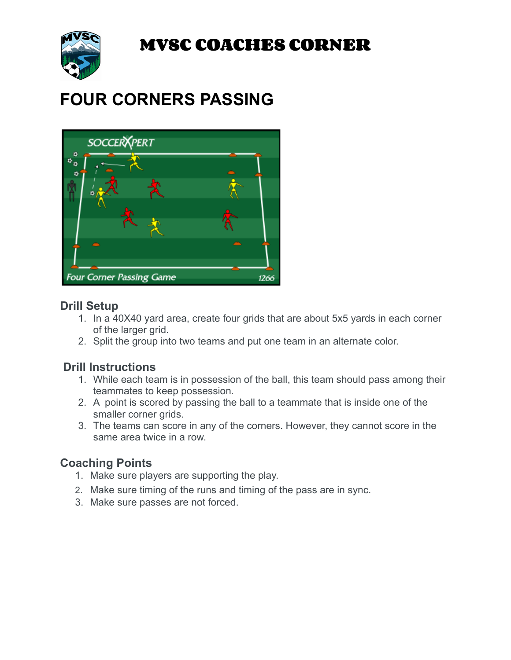**MVSC COACHES CORNER**



# **FOUR CORNERS PASSING**



### **Drill Setup**

- 1. In a 40X40 yard area, create four grids that are about 5x5 yards in each corner of the larger grid.
- 2. Split the group into two teams and put one team in an alternate color.

## **Drill Instructions**

- 1. While each team is in possession of the ball, this team should pass among their teammates to keep possession.
- 2. A point is scored by passing the ball to a teammate that is inside one of the smaller corner grids.
- 3. The teams can score in any of the corners. However, they cannot score in the same area twice in a row.

## **Coaching Points**

- 1. Make sure players are supporting the play.
- 2. Make sure timing of the runs and timing of the pass are in sync.
- 3. Make sure passes are not forced.